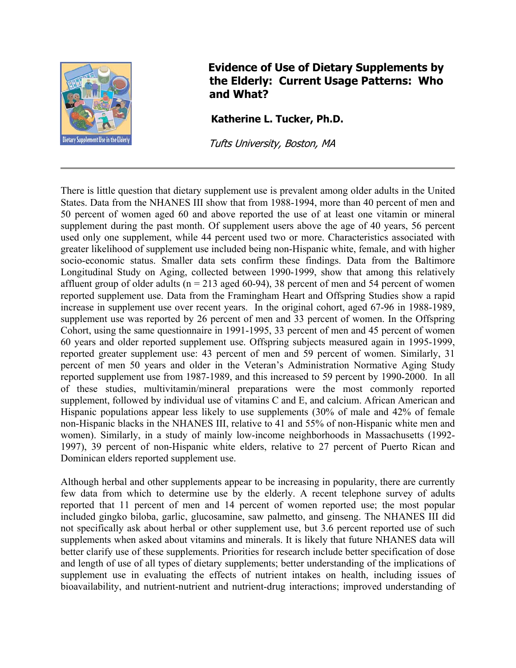

## **Evidence of Use of Dietary Supplements by t the Elderly: Current Usage Patterns: Who**  and What?

**Katherine L. Tucker, Ph.D.** 

Tufts University, Boston, MA

There is little question that dietary supplement use is prevalent among older adults in the United States. Data from the NHANES III show that from 1988-1994, more than 40 percent of men and 50 percent of women aged 60 and above reported the use of at least one vitamin or mineral supplement during the past month. Of supplement users above the age of 40 years, 56 percent used only one supplement, while 44 percent used two or more. Characteristics associated with greater likelihood of supplement use included being non-Hispanic white, female, and with higher socio-economic status. Smaller data sets confirm these findings. Data from the Baltimore Longitudinal Study on Aging, collected between 1990-1999, show that among this relatively affluent group of older adults ( $n = 213$  aged 60-94), 38 percent of men and 54 percent of women reported supplement use. Data from the Framingham Heart and Offspring Studies show a rapid increase in supplement use over recent years. In the original cohort, aged 67-96 in 1988-1989, supplement use was reported by 26 percent of men and 33 percent of women. In the Offspring Cohort, using the same questionnaire in 1991-1995, 33 percent of men and 45 percent of women 60 years and older reported supplement use. Offspring subjects measured again in 1995-1999, reported greater supplement use: 43 percent of men and 59 percent of women. Similarly, 31 percent of men 50 years and older in the Veteran's Administration Normative Aging Study reported supplement use from 1987-1989, and this increased to 59 percent by 1990-2000. In all of these studies, multivitamin/mineral preparations were the most commonly reported supplement, followed by individual use of vitamins C and E, and calcium. African American and Hispanic populations appear less likely to use supplements (30% of male and 42% of female non-Hispanic blacks in the NHANES III, relative to 41 and 55% of non-Hispanic white men and women). Similarly, in a study of mainly low-income neighborhoods in Massachusetts (1992- 1997), 39 percent of non-Hispanic white elders, relative to 27 percent of Puerto Rican and Dominican elders reported supplement use.

Although herbal and other supplements appear to be increasing in popularity, there are currently few data from which to determine use by the elderly. A recent telephone survey of adults reported that 11 percent of men and 14 percent of women reported use; the most popular included gingko biloba, garlic, glucosamine, saw palmetto, and ginseng. The NHANES III did not specifically ask about herbal or other supplement use, but 3.6 percent reported use of such supplements when asked about vitamins and minerals. It is likely that future NHANES data will better clarify use of these supplements. Priorities for research include better specification of dose and length of use of all types of dietary supplements; better understanding of the implications of supplement use in evaluating the effects of nutrient intakes on health, including issues of bioavailability, and nutrient-nutrient and nutrient-drug interactions; improved understanding of